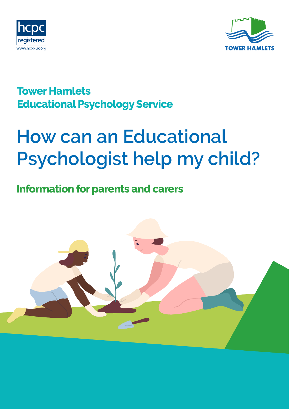



## **Tower Hamlets Educational Psychology Service**

# **How can an Educational Psychologist help my child?**

## **Information for parents and carers**

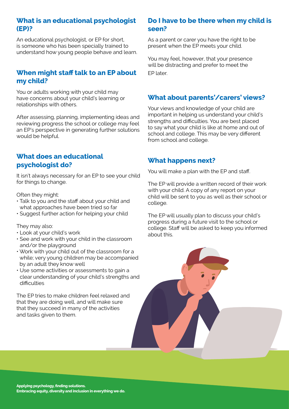#### **What is an educational psychologist (EP)?**

An educational psychologist, or EP for short, is someone who has been specially trained to understand how young people behave and learn.

#### **When might staff talk to an EP about my child?**

You or adults working with your child may have concerns about your child's learning or relationships with others.

After assessing, planning, implementing ideas and reviewing progress the school or college may feel an EP's perspective in generating further solutions would be helpful.

#### **What does an educational psychologist do?**

It isn't always necessary for an EP to see your child for things to change.

Often they might:

- Talk to you and the staff about your child and what approaches have been tried so far
- Suggest further action for helping your child

They may also:

- Look at your child's work
- See and work with your child in the classroom and/or the playground
- Work with your child out of the classroom for a while; very young children may be accompanied by an adult they know well
- Use some activities or assessments to gain a clear understanding of your child's strengths and difficulties

The EP tries to make children feel relaxed and that they are doing well, and will make sure that they succeed in many of the activities and tasks given to them.

#### **Do I have to be there when my child is seen?**

As a parent or carer you have the right to be present when the EP meets your child.

You may feel, however, that your presence will be distracting and prefer to meet the EP later.

#### **What about parents'/carers' views?**

Your views and knowledge of your child are important in helping us understand your child's strengths and difficulties. You are best placed to say what your child is like at home and out of school and college. This may be very different from school and college.

#### **What happens next?**

You will make a plan with the EP and staff.

The EP will provide a written record of their work with your child. A copy of any report on your child will be sent to you as well as their school or college.

The EP will usually plan to discuss your child's progress during a future visit to the school or college. Staff will be asked to keep you informed about this.